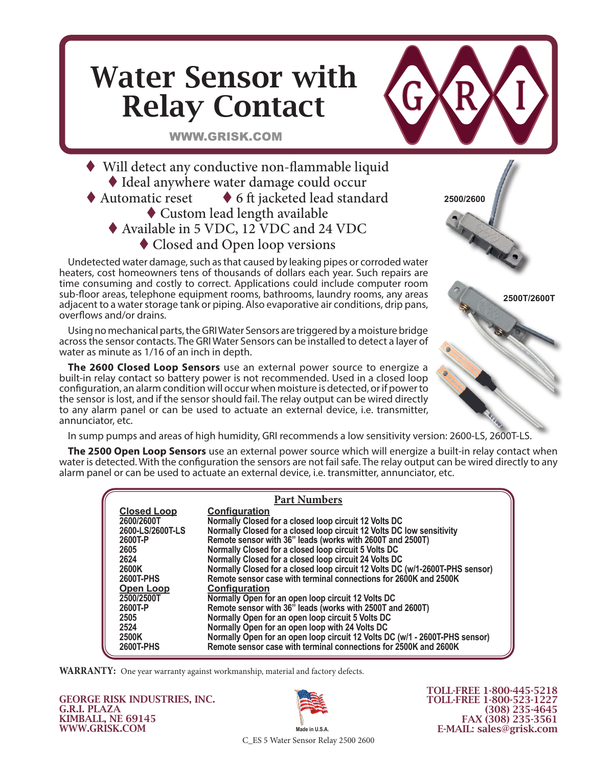## Water Sensor with Relay Contact

WWW.GRISK.COM

 Will detect any conductive non-flammable liquid Ideal anywhere water damage could occur Automatic reset  $\bullet$  6 ft jacketed lead standard Custom lead length available Available in 5 VDC, 12 VDC and 24 VDC ◆ Closed and Open loop versions

Undetected water damage, such as that caused by leaking pipes or corroded water heaters, cost homeowners tens of thousands of dollars each year. Such repairs are time consuming and costly to correct. Applications could include computer room sub-floor areas, telephone equipment rooms, bathrooms, laundry rooms, any areas adjacent to a water storage tank or piping. Also evaporative air conditions, drip pans, overflows and/or drains.

Using no mechanical parts, the GRI Water Sensors are triggered by a moisture bridge across the sensor contacts. The GRI Water Sensors can be installed to detect a layer of water as minute as 1/16 of an inch in depth.

**The 2600 Closed Loop Sensors** use an external power source to energize a built-in relay contact so battery power is not recommended. Used in a closed loop configuration, an alarm condition will occur when moisture is detected, or if power to the sensor is lost, and if the sensor should fail. The relay output can be wired directly to any alarm panel or can be used to actuate an external device, i.e. transmitter, annunciator, etc.

In sump pumps and areas of high humidity, GRI recommends a low sensitivity version: 2600-LS, 2600T-LS.

**The 2500 Open Loop Sensors** use an external power source which will energize a built-in relay contact when water is detected. With the configuration the sensors are not fail safe. The relay output can be wired directly to any alarm panel or can be used to actuate an external device, i.e. transmitter, annunciator, etc.

| <b>Part Numbers</b> |                                                                              |  |
|---------------------|------------------------------------------------------------------------------|--|
| <b>Closed Loop</b>  | <b>Configuration</b>                                                         |  |
| 2600/2600T          | Normally Closed for a closed loop circuit 12 Volts DC                        |  |
| 2600-LS/2600T-LS    | Normally Closed for a closed loop circuit 12 Volts DC low sensitivity        |  |
| 2600T-P             | Remote sensor with 36" leads (works with 2600T and 2500T)                    |  |
| 2605                | Normally Closed for a closed loop circuit 5 Volts DC                         |  |
| 2624                | Normally Closed for a closed loop circuit 24 Volts DC                        |  |
| 2600K               | Normally Closed for a closed loop circuit 12 Volts DC (w/1-2600T-PHS sensor) |  |
| 2600T-PHS           | Remote sensor case with terminal connections for 2600K and 2500K             |  |
| <b>Open Loop</b>    | <b>Configuration</b>                                                         |  |
| 2500/2500T          | Normally Open for an open loop circuit 12 Volts DC                           |  |
| 2600T-P             | Remote sensor with 36" leads (works with 2500T and 2600T)                    |  |
| 2505                | Normally Open for an open loop circuit 5 Volts DC                            |  |
| 2524                | Normally Open for an open loop with 24 Volts DC                              |  |
| 2500K               | Normally Open for an open loop circuit 12 Volts DC (w/1 - 2600T-PHS sensor)  |  |
| 2600T-PHS           | Remote sensor case with terminal connections for 2500K and 2600K             |  |

**WARRANTY:** One year warranty against workmanship, material and factory defects.

GEORGE RISK INDUSTRIES, INC. G.R.I. PLAZA KIMBALL, NE 69145 WWW.GRISK.COM



TOLL-FREE 1-800-445-5218 TOLL-FREE 1-800-523-1227 (308) 235-4645 FAX (308) 235-3561 E-MAIL: sales@grisk.com

**2500T/2600T**

**2500/2600**

C\_ES 5 Water Sensor Relay 2500 2600